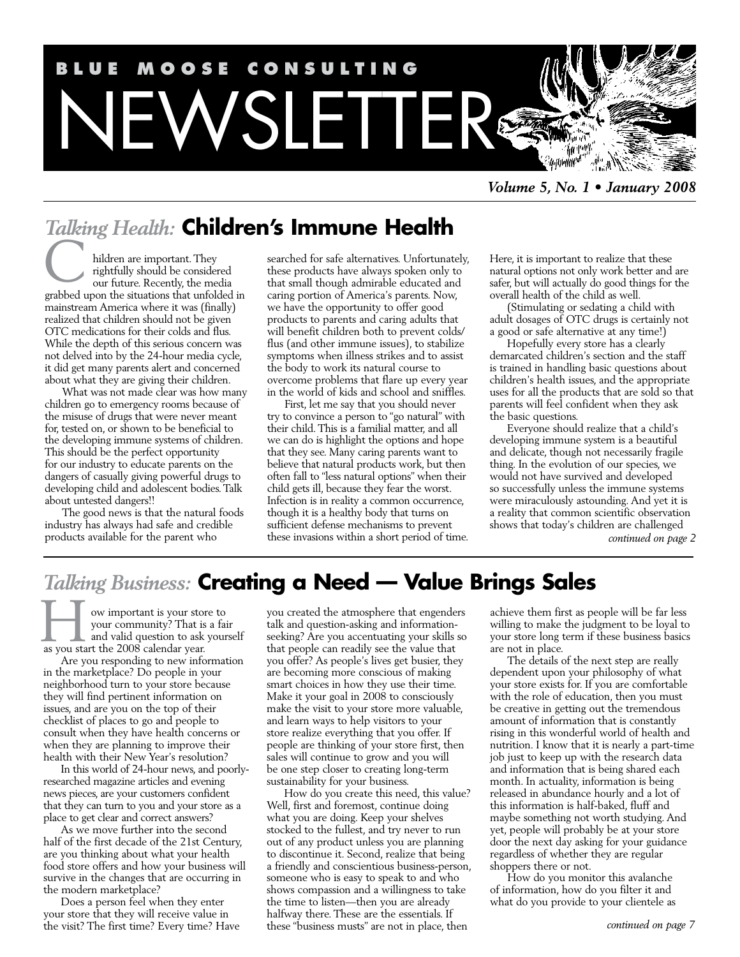

*Volume 5, No. 1 • January 2008*

# *Talking Health:* **Children's Immune Health**

hildren are important. They rightfully should be considered our future. Recently, the media grabbed upon the situations that unfolded in mainstream America where it was (finally) realized that children should not be given OTC medications for their colds and flus. While the depth of this serious concern was not delved into by the 24-hour media cycle, it did get many parents alert and concerned about what they are giving their children. C

What was not made clear was how many children go to emergency rooms because of the misuse of drugs that were never meant for, tested on, or shown to be beneficial to the developing immune systems of children. This should be the perfect opportunity for our industry to educate parents on the dangers of casually giving powerful drugs to developing child and adolescent bodies. Talk about untested dangers!!

The good news is that the natural foods industry has always had safe and credible products available for the parent who

searched for safe alternatives. Unfortunately, these products have always spoken only to that small though admirable educated and caring portion of America's parents. Now, we have the opportunity to offer good products to parents and caring adults that will benefit children both to prevent colds/ flus (and other immune issues), to stabilize symptoms when illness strikes and to assist the body to work its natural course to overcome problems that flare up every year in the world of kids and school and sniffles.

First, let me say that you should never try to convince a person to "go natural" with their child. This is a familial matter, and all we can do is highlight the options and hope that they see. Many caring parents want to believe that natural products work, but then often fall to "less natural options" when their child gets ill, because they fear the worst. Infection is in reality a common occurrence, though it is a healthy body that turns on sufficient defense mechanisms to prevent these invasions within a short period of time. Here, it is important to realize that these natural options not only work better and are safer, but will actually do good things for the overall health of the child as well.

(Stimulating or sedating a child with adult dosages of OTC drugs is certainly not a good or safe alternative at any time!)

Hopefully every store has a clearly demarcated children's section and the staff is trained in handling basic questions about children's health issues, and the appropriate uses for all the products that are sold so that parents will feel confident when they ask the basic questions.

Everyone should realize that a child's developing immune system is a beautiful and delicate, though not necessarily fragile thing. In the evolution of our species, we would not have survived and developed so successfully unless the immune systems were miraculously astounding. And yet it is a reality that common scientific observation shows that today's children are challenged *continued on page 2*

*Talking Business:* **Creating a Need — Value Brings Sales**

ow important is your store to your community? That is a fair and valid question to ask yourself we important is your sto:<br>your community? That is<br>and valid question to ask<br>as you start the 2008 calendar year.

Are you responding to new information in the marketplace? Do people in your neighborhood turn to your store because they will find pertinent information on issues, and are you on the top of their checklist of places to go and people to consult when they have health concerns or when they are planning to improve their health with their New Year's resolution?

In this world of 24-hour news, and poorlyresearched magazine articles and evening news pieces, are your customers confident that they can turn to you and your store as a place to get clear and correct answers?

As we move further into the second half of the first decade of the 21st Century, are you thinking about what your health food store offers and how your business will survive in the changes that are occurring in the modern marketplace?

Does a person feel when they enter your store that they will receive value in the visit? The first time? Every time? Have you created the atmosphere that engenders talk and question-asking and informationseeking? Are you accentuating your skills so that people can readily see the value that you offer? As people's lives get busier, they are becoming more conscious of making smart choices in how they use their time. Make it your goal in 2008 to consciously make the visit to your store more valuable, and learn ways to help visitors to your store realize everything that you offer. If people are thinking of your store first, then sales will continue to grow and you will be one step closer to creating long-term sustainability for your business.

How do you create this need, this value? Well, first and foremost, continue doing what you are doing. Keep your shelves stocked to the fullest, and try never to run out of any product unless you are planning to discontinue it. Second, realize that being a friendly and conscientious business-person, someone who is easy to speak to and who shows compassion and a willingness to take the time to listen—then you are already halfway there. These are the essentials. If these "business musts" are not in place, then

achieve them first as people will be far less willing to make the judgment to be loyal to your store long term if these business basics are not in place.

The details of the next step are really dependent upon your philosophy of what your store exists for. If you are comfortable with the role of education, then you must be creative in getting out the tremendous amount of information that is constantly rising in this wonderful world of health and nutrition. I know that it is nearly a part-time job just to keep up with the research data and information that is being shared each month. In actuality, information is being released in abundance hourly and a lot of this information is half-baked, fluff and maybe something not worth studying. And yet, people will probably be at your store door the next day asking for your guidance regardless of whether they are regular shoppers there or not.

How do you monitor this avalanche of information, how do you filter it and what do you provide to your clientele as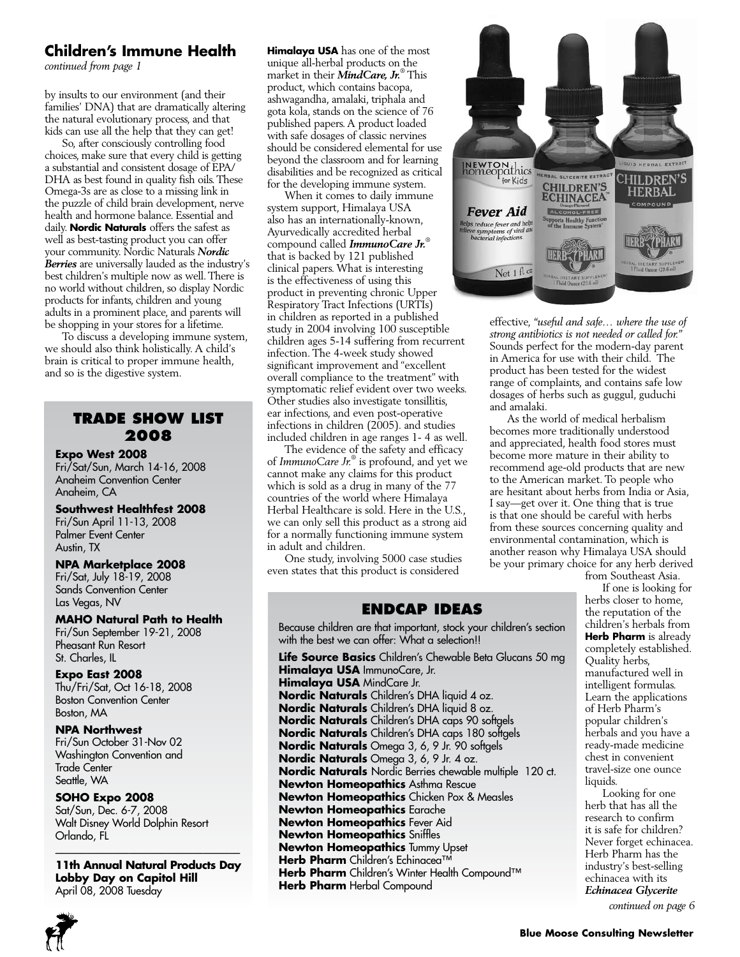## **Children's Immune Health**

*continued from page 1*

by insults to our environment (and their families' DNA) that are dramatically altering the natural evolutionary process, and that kids can use all the help that they can get!

So, after consciously controlling food choices, make sure that every child is getting a substantial and consistent dosage of EPA/ DHA as best found in quality fish oils. These Omega-3s are as close to a missing link in the puzzle of child brain development, nerve health and hormone balance. Essential and daily. **Nordic Naturals** offers the safest as well as best-tasting product you can offer your community. Nordic Naturals *Nordic Berries* are universally lauded as the industry's best children's multiple now as well. There is no world without children, so display Nordic products for infants, children and young adults in a prominent place, and parents will be shopping in your stores for a lifetime.

To discuss a developing immune system, we should also think holistically. A child's brain is critical to proper immune health, and so is the digestive system.

## **Trade Show List 2008**

#### **Expo West 2008**

Fri/Sat/Sun, March 14-16, 2008 Anaheim Convention Center Anaheim, CA

#### **Southwest Healthfest 2008**

Fri/Sun April 11-13, 2008 Palmer Event Center Austin, TX

#### **NPA Marketplace 2008**

Fri/Sat, July 18-19, 2008 Sands Convention Center Las Vegas, NV

#### **MAHO Natural Path to Health**

Fri/Sun September 19-21, 2008 Pheasant Run Resort St. Charles, IL

**Expo East 2008** Thu/Fri/Sat, Oct 16-18, 2008 Boston Convention Center Boston, MA

**NPA Northwest** Fri/Sun October 31-Nov 02 Washington Convention and Trade Center Seattle, WA

#### **SOHO Expo 2008**

Sat/Sun, Dec. 6-7, 2008 Walt Disney World Dolphin Resort Orlando, FL

**11th Annual Natural Products Day Lobby Day on Capitol Hill** April 08, 2008 Tuesday

 $\overline{\mathcal{L}}$  , and the set of the set of the set of the set of the set of the set of the set of the set of the set of the set of the set of the set of the set of the set of the set of the set of the set of the set of the s

**Himalaya USA** has one of the most unique all-herbal products on the market in their *MindCare, Jr.*® This product, which contains bacopa, ashwagandha, amalaki, triphala and gota kola, stands on the science of 76 published papers. A product loaded with safe dosages of classic nervines should be considered elemental for use beyond the classroom and for learning disabilities and be recognized as critical for the developing immune system.

When it comes to daily immune system support, Himalaya USA also has an internationally-known, Ayurvedically accredited herbal compound called *ImmunoCare Jr.*® that is backed by 121 published clinical papers. What is interesting is the effectiveness of using this product in preventing chronic Upper Respiratory Tract Infections (URTIs) in children as reported in a published study in 2004 involving 100 susceptible children ages 5-14 suffering from recurrent infection. The 4-week study showed significant improvement and "excellent overall compliance to the treatment" with symptomatic relief evident over two weeks. Other studies also investigate tonsillitis, ear infections, and even post-operative infections in children (2005). and studies included children in age ranges 1- 4 as well.

The evidence of the safety and efficacy of *ImmunoCare Jr.*® is profound, and yet we cannot make any claims for this product which is sold as a drug in many of the 77 countries of the world where Himalaya Herbal Healthcare is sold. Here in the U.S., we can only sell this product as a strong aid for a normally functioning immune system in adult and children.

One study, involving 5000 case studies even states that this product is considered

## **Endcap Ideas**

Because children are that important, stock your children's section with the best we can offer: What a selection!!

**Life Source Basics** Children's Chewable Beta Glucans 50 mg **Himalaya USA** ImmunoCare, Jr. **Himalaya USA** MindCare Jr. **Nordic Naturals** Children's DHA liquid 4 oz. **Nordic Naturals** Children's DHA liquid 8 oz. **Nordic Naturals** Children's DHA caps 90 softgels **Nordic Naturals** Children's DHA caps 180 softgels **Nordic Naturals** Omega 3, 6, 9 Jr. 90 softgels **Nordic Naturals** Omega 3, 6, 9 Jr. 4 oz. **Nordic Naturals** Nordic Berries chewable multiple 120 ct. **Newton Homeopathics** Asthma Rescue **Newton Homeopathics** Chicken Pox & Measles **Newton Homeopathics** Earache **Newton Homeopathics** Fever Aid **Newton Homeopathics** Sniffles **Newton Homeopathics** Tummy Upset **Herb Pharm** Children's Echinacea™ **Herb Pharm** Children's Winter Health Compound™ **Herb Pharm** Herbal Compound



effective, *"useful and safe… where the use of strong antibiotics is not needed or called for."*  Sounds perfect for the modern-day parent in America for use with their child. The product has been tested for the widest range of complaints, and contains safe low dosages of herbs such as guggul, guduchi and amalaki.

As the world of medical herbalism becomes more traditionally understood and appreciated, health food stores must become more mature in their ability to recommend age-old products that are new to the American market. To people who are hesitant about herbs from India or Asia, I say—get over it. One thing that is true is that one should be careful with herbs from these sources concerning quality and environmental contamination, which is another reason why Himalaya USA should be your primary choice for any herb derived from Southeast Asia.

If one is looking for herbs closer to home, the reputation of the children's herbals from **Herb Pharm** is already completely established. Quality herbs, manufactured well in intelligent formulas. Learn the applications of Herb Pharm's popular children's herbals and you have a ready-made medicine chest in convenient travel-size one ounce liquids.

Looking for one herb that has all the research to confirm it is safe for children? Never forget echinacea. Herb Pharm has the industry's best-selling echinacea with its *Echinacea Glycerite*

*continued on page 6*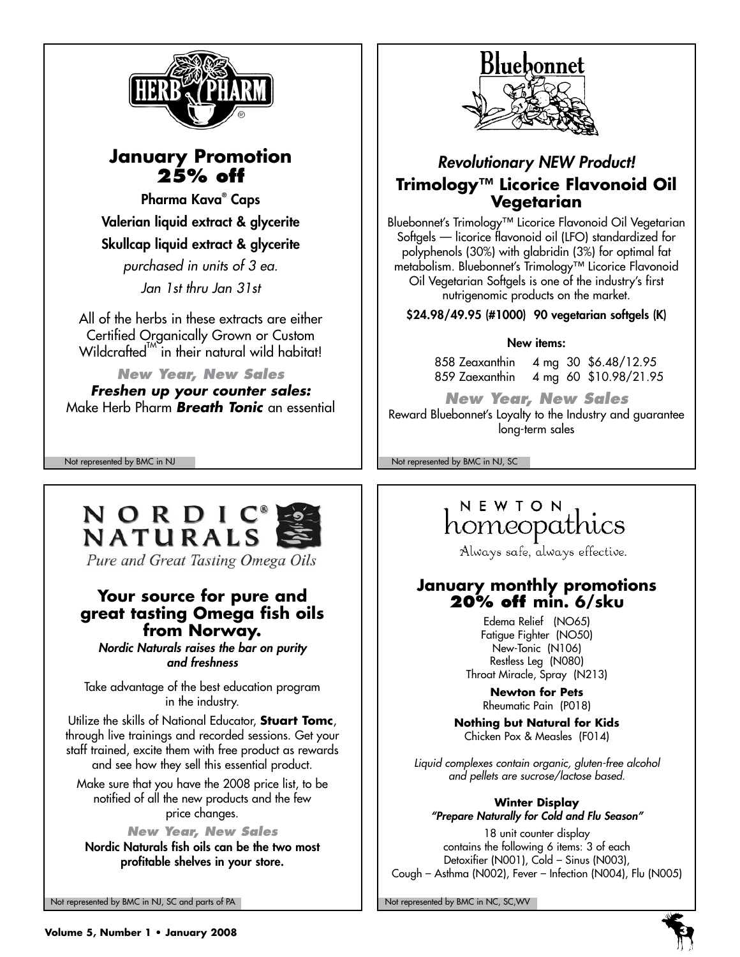

# **January Promotion 25% off**

Pharma Kava® Caps Valerian liquid extract & glycerite Skullcap liquid extract & glycerite

*purchased in units of 3 ea.*

*Jan 1st thru Jan 31st*

All of the herbs in these extracts are either Certified Organically Grown or Custom Wildcrafted $^{\prime\prime\prime}$  in their natural wild habitat!

*New Year, New Sales Freshen up your counter sales:* Make Herb Pharm *Breath Tonic* an essential

# NORDIC **NATURALS**

Pure and Great Tasting Omega Oils

# **Your source for pure and great tasting Omega fish oils from Norway.**

*Nordic Naturals raises the bar on purity and freshness*

Take advantage of the best education program in the industry.

Utilize the skills of National Educator, **Stuart Tomc**, through live trainings and recorded sessions. Get your staff trained, excite them with free product as rewards and see how they sell this essential product.

Make sure that you have the 2008 price list, to be notified of all the new products and the few price changes.

*New Year, New Sales* Nordic Naturals fish oils can be the two most profitable shelves in your store.

Not represented by BMC in NJ, SC and parts of PA Note that the Not represented by BMC in NC, SC, WV



# *Revolutionary NEW Product!* **Trimology™ Licorice Flavonoid Oil Vegetarian**

Bluebonnet's Trimology™ Licorice Flavonoid Oil Vegetarian Softgels — licorice flavonoid oil (LFO) standardized for polyphenols (30%) with glabridin (3%) for optimal fat metabolism. Bluebonnet's Trimology™ Licorice Flavonoid Oil Vegetarian Softgels is one of the industry's first nutrigenomic products on the market.

\$24.98/49.95 (#1000) 90 vegetarian softgels (K)

## New items:

858 Zeaxanthin 4 mg 30 \$6.48/12.95 859 Zaexanthin 4 mg 60 \$10.98/21.95

*New Year, New Sales* Reward Bluebonnet's Loyalty to the Industry and guarantee long-term sales

Not represented by BMC in NJ Not represented by BMC in NJ, SC

# NEWTON homeopathics

Always safe, always effective.

# **January monthly promotions 20% off min. 6/sku**

Edema Relief (NO65) Fatigue Fighter (NO50) New-Tonic (N106) Restless Leg (N080) Throat Miracle, Spray (N213)

> **Newton for Pets** Rheumatic Pain (P018)

**Nothing but Natural for Kids** Chicken Pox & Measles (F014)

*Liquid complexes contain organic, gluten-free alcohol and pellets are sucrose/lactose based.*

**Winter Display** *"Prepare Naturally for Cold and Flu Season"*

18 unit counter display contains the following 6 items: 3 of each Detoxifier (N001), Cold – Sinus (N003), Cough – Asthma (N002), Fever – Infection (N004), Flu (N005)



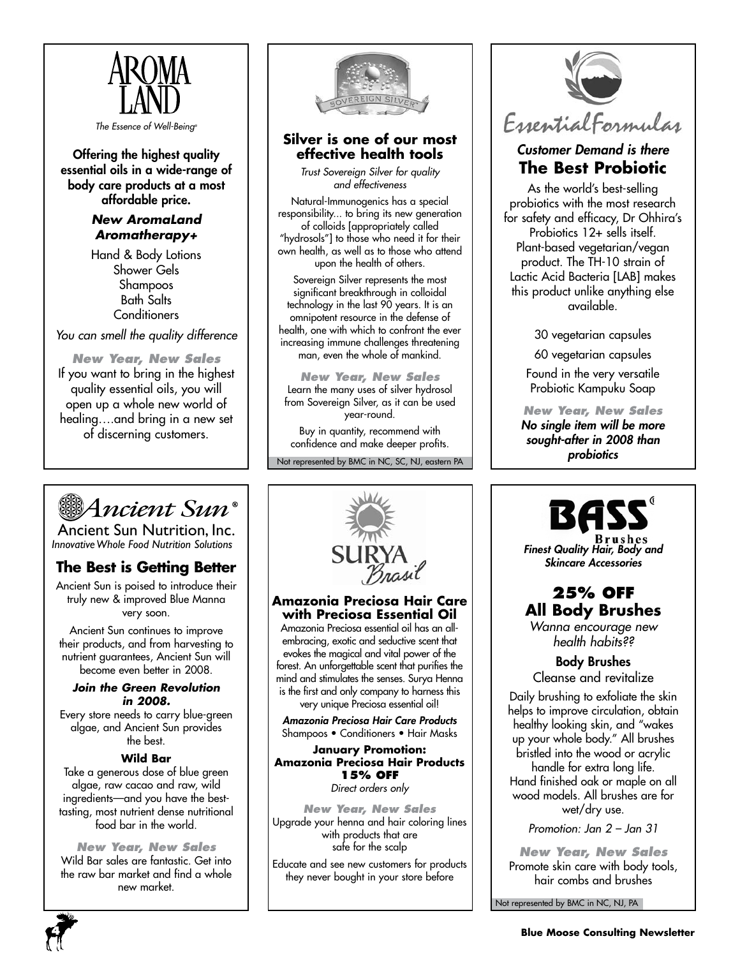

*The Essence of Well-Being®*

Offering the highest quality essential oils in a wide-range of body care products at a most affordable price.

# *New AromaLand Aromatherapy+*

Hand & Body Lotions Shower Gels Shampoos Bath Salts **Conditioners** 

*You can smell the quality difference*

*New Year, New Sales* If you want to bring in the highest quality essential oils, you will open up a whole new world of healing….and bring in a new set of discerning customers.



## **Silver is one of our most effective health tools**

*Trust Sovereign Silver for quality and effectiveness*

Natural-Immunogenics has a special responsibility... to bring its new generation of colloids [appropriately called "hydrosols"] to those who need it for their own health, as well as to those who attend upon the health of others.

Sovereign Silver represents the most significant breakthrough in colloidal technology in the last 90 years. It is an omnipotent resource in the defense of health, one with which to confront the ever increasing immune challenges threatening man, even the whole of mankind.

*New Year, New Sales* Learn the many uses of silver hydrosol from Sovereign Silver, as it can be used year-round.

Buy in quantity, recommend with confidence and make deeper profits.

Not represented by BMC in NC, SC, NJ, eastern PA



# *Customer Demand is there* **The Best Probiotic**

As the world's best-selling probiotics with the most research for safety and efficacy, Dr Ohhira's Probiotics 12+ sells itself. Plant-based vegetarian/vegan product. The TH-10 strain of Lactic Acid Bacteria [LAB] makes this product unlike anything else available.

30 vegetarian capsules

60 vegetarian capsules

Found in the very versatile Probiotic Kampuku Soap

*New Year, New Sales No single item will be more sought-after in 2008 than probiotics*



Ancient Sun Nutrition, Inc. *InnovativeWhole Food Nutrition Solutions*

# **The Best is Getting Better**

Ancient Sun is poised to introduce their truly new & improved Blue Manna very soon.

Ancient Sun continues to improve their products, and from harvesting to nutrient guarantees, Ancient Sun will become even better in 2008.

#### *Join the Green Revolution in 2008.*

Every store needs to carry blue-green algae, and Ancient Sun provides the best.

#### **Wild Bar**

Take a generous dose of blue green algae, raw cacao and raw, wild ingredients—and you have the besttasting, most nutrient dense nutritional food bar in the world.

*New Year, New Sales* Wild Bar sales are fantastic. Get into the raw bar market and find a whole new market.



#### **Amazonia Preciosa Hair Care with Preciosa Essential Oil**

Amazonia Preciosa essential oil has an allembracing, exotic and seductive scent that evokes the magical and vital power of the forest. An unforgettable scent that purifies the mind and stimulates the senses. Surya Henna is the first and only company to harness this very unique Preciosa essential oil!

*Amazonia Preciosa Hair Care Products* Shampoos • Conditioners • Hair Masks

**January Promotion: Amazonia Preciosa Hair Products 15% off** *Direct orders only*

*New Year, New Sales* Upgrade your henna and hair coloring lines with products that are

safe for the scalp Educate and see new customers for products they never bought in your store before



*Finest Quality Hair, Body and Skincare Accessories*

# **25% off All Body Brushes**

*Wanna encourage new health habits??*

# Body Brushes

Cleanse and revitalize

Daily brushing to exfoliate the skin helps to improve circulation, obtain healthy looking skin, and "wakes up your whole body." All brushes bristled into the wood or acrylic handle for extra long life. Hand finished oak or maple on all wood models. All brushes are for wet/dry use.

*Promotion: Jan 2 – Jan 31* 

*New Year, New Sales* Promote skin care with body tools, hair combs and brushes

Not represented by BMC in NC, NJ, PA

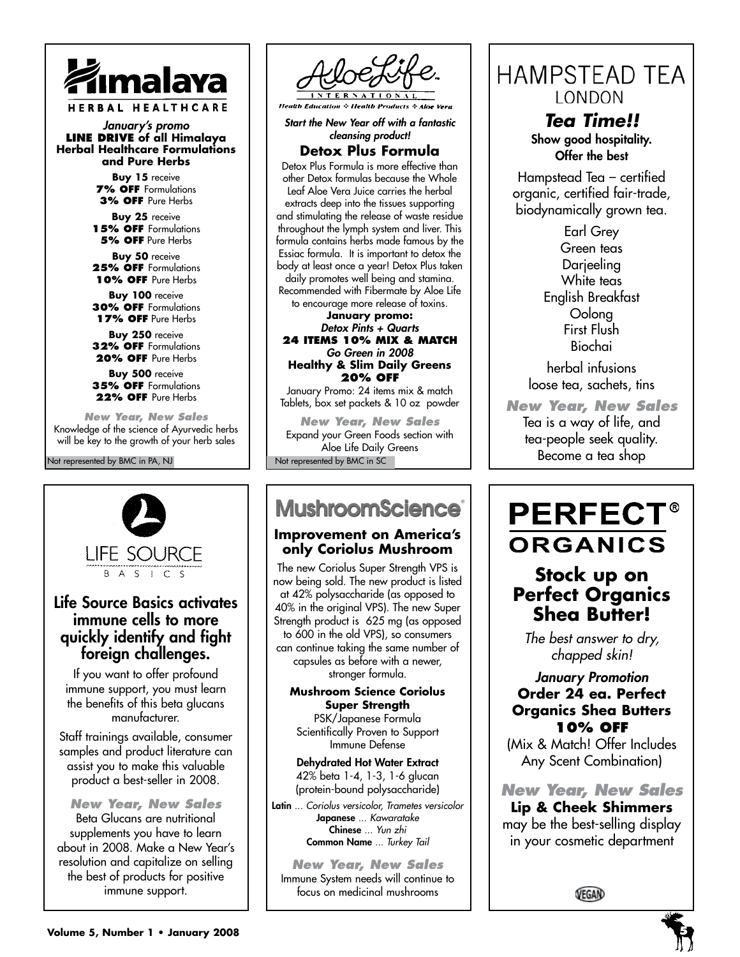

*January's promo* **Line Drive of all Himalaya Herbal Healthcare Formulations and Pure Herbs**

> **Buy 15** receive **7% OFF** Formulations **3% off** Pure Herbs

**Buy 25** receive **15% off** Formulations **5% off** Pure Herbs

**Buy 50** receive 25% OFF Formulations 10% OFF Pure Herbs

**Buy 100** receive **30% off** Formulations **17% off** Pure Herbs

**Buy 250** receive **32% off** Formulations 20% OFF Pure Herbs

**Buy 500** receive **35% off** Formulations 22% OFF Pure Herbs

*New Year, New Sales* Knowledge of the science of Ayurvedic herbs will be key to the growth of your herb sales

#### Not represented by BMC in PA, NJ



# Life Source Basics activates immune cells to more quickly identify and fight foreign challenges.

If you want to offer profound immune support, you must learn the benefits of this beta glucans manufacturer.

Staff trainings available, consumer samples and product literature can assist you to make this valuable product a best-seller in 2008.

*New Year, New Sales* Beta Glucans are nutritional supplements you have to learn about in 2008. Make a New Year's resolution and capitalize on selling the best of products for positive immune support.



**Health Education & Health Products** 

*Start the New Year off with a fantastic cleansing product!*

**Detox Plus Formula**

Detox Plus Formula is more effective than other Detox formulas because the Whole Leaf Aloe Vera Juice carries the herbal extracts deep into the tissues supporting and stimulating the release of waste residue throughout the lymph system and liver. This formula contains herbs made famous by the Essiac formula. It is important to detox the body at least once a year! Detox Plus taken daily promotes well being and stamina. Recommended with Fibermate by Aloe Life

to encourage more release of toxins. **January promo:**  *Detox Pints + Quarts* **24 items 10% mix & match** *Go Green in 2008* **Healthy & Slim Daily Greens 20% off**

January Promo: 24 items mix & match Tablets, box set packets & 10 oz powder

*New Year, New Sales* Expand your Green Foods section with Aloe Life Daily Greens Not represented by BMC in SC

# **MushroomScience®**

#### **Improvement on America's only Coriolus Mushroom**

The new Coriolus Super Strength VPS is now being sold. The new product is listed at 42% polysaccharide (as opposed to 40% in the original VPS). The new Super Strength product is 625 mg (as opposed to 600 in the old VPS), so consumers can continue taking the same number of capsules as before with a newer, stronger formula.

#### **Mushroom Science Coriolus Super Strength**

PSK/Japanese Formula Scientifically Proven to Support Immune Defense

Dehydrated Hot Water Extract 42% beta 1-4, 1-3, 1-6 glucan (protein-bound polysaccharide)

Latin *... Coriolus versicolor, Trametes versicolor* Japanese *... Kawaratake* Chinese *... Yun zhi* Common Name *... Turkey Tail*

*New Year, New Sales* Immune System needs will continue to focus on medicinal mushrooms

**HAMPSTEAD TEA** LONDON

> *Tea Time!!* Show good hospitality. Offer the best

Hampstead Tea – certified organic, certified fair-trade, biodynamically grown tea.

> Earl Grey Green teas Darjeeling White teas English Breakfast Oolong First Flush Biochai

herbal infusions loose tea, sachets, tins

*New Year, New Sales* Tea is a way of life, and tea-people seek quality. Become a tea shop

# **PERFECT®** ORGANICS

# **Stock up on Perfect Organics Shea Butter!**

*The best answer to dry, chapped skin!* 

# *January Promotion* **Order 24 ea. Perfect Organics Shea Butters 10% off**

(Mix & Match! Offer Includes Any Scent Combination)

*New Year, New Sales* **Lip & Cheek Shimmers** may be the best-selling display

in your cosmetic department

VEGAN

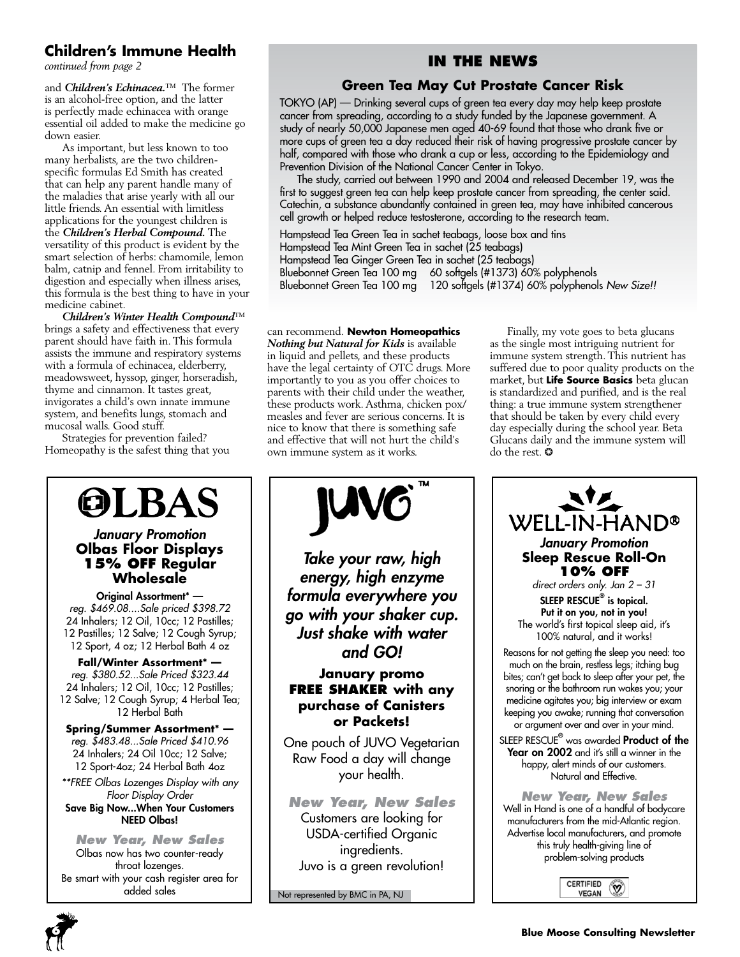# **Children's Immune Health**

*continued from page 2*

and *Children's Echinacea.*™ The former is an alcohol-free option, and the latter is perfectly made echinacea with orange essential oil added to make the medicine go down easier.

As important, but less known to too many herbalists, are the two childrenspecific formulas Ed Smith has created that can help any parent handle many of the maladies that arise yearly with all our little friends. An essential with limitless applications for the youngest children is the *Children's Herbal Compound.* The versatility of this product is evident by the smart selection of herbs: chamomile, lemon balm, catnip and fennel. From irritability to digestion and especially when illness arises, this formula is the best thing to have in your medicine cabinet.

*Children's Winter Health Compound*™ brings a safety and effectiveness that every parent should have faith in. This formula assists the immune and respiratory systems with a formula of echinacea, elderberry, meadowsweet, hyssop, ginger, horseradish, thyme and cinnamon. It tastes great, invigorates a child's own innate immune system, and benefits lungs, stomach and mucosal walls. Good stuff.

Strategies for prevention failed? Homeopathy is the safest thing that you

# **OLBAS**

#### *January Promotion* **Olbas Floor Displays 15% Off Regular Wholesale**

Original Assortment\* *reg. \$469.08....Sale priced \$398.72* 24 Inhalers; 12 Oil, 10cc; 12 Pastilles; 12 Pastilles; 12 Salve; 12 Cough Syrup; 12 Sport, 4 oz; 12 Herbal Bath 4 oz

**Fall/Winter Assortment\***  *reg. \$380.52...Sale Priced \$323.44* 24 Inhalers; 12 Oil, 10cc; 12 Pastilles; 12 Salve; 12 Cough Syrup; 4 Herbal Tea; 12 Herbal Bath

**Spring/Summer Assortment\***  *reg. \$483.48...Sale Priced \$410.96* 24 Inhalers; 24 Oil 10cc; 12 Salve; 12 Sport-4oz; 24 Herbal Bath 4oz

*\*\*FREE Olbas Lozenges Display with any Floor Display Order* Save Big Now...When Your Customers NEED Olbas!

*New Year, New Sales* Olbas now has two counter-ready throat lozenges. Be smart with your cash register area for added sales Not represented by BMC in PA, NJ

# **In the News**

# **Green Tea May Cut Prostate Cancer Risk**

TOKYO (AP) — Drinking several cups of green tea every day may help keep prostate cancer from spreading, according to a study funded by the Japanese government. A study of nearly 50,000 Japanese men aged 40-69 found that those who drank five or more cups of green tea a day reduced their risk of having progressive prostate cancer by half, compared with those who drank a cup or less, according to the Epidemiology and Prevention Division of the National Cancer Center in Tokyo.

The study, carried out between 1990 and 2004 and released December 19, was the first to suggest green tea can help keep prostate cancer from spreading, the center said. Catechin, a substance abundantly contained in green tea, may have inhibited cancerous cell growth or helped reduce testosterone, according to the research team.

Hampstead Tea Green Tea in sachet teabags, loose box and tins Hampstead Tea Mint Green Tea in sachet (25 teabags) Hampstead Tea Ginger Green Tea in sachet (25 teabags) Bluebonnet Green Tea 100 mg 60 softgels (#1373) 60% polyphenols Bluebonnet Green Tea 100 mg 120 softgels (#1374) 60% polyphenols *New Size!!*

#### can recommend. **Newton Homeopathics**

*Nothing but Natural for Kids* is available in liquid and pellets, and these products have the legal certainty of OTC drugs. More importantly to you as you offer choices to parents with their child under the weather, these products work. Asthma, chicken pox/ measles and fever are serious concerns. It is nice to know that there is something safe and effective that will not hurt the child's own immune system as it works.

*Take your raw, high energy, high enzyme formula everywhere you go with your shaker cup. Just shake with water and GO!* **January promo Free Shaker with any purchase of Canisters or Packets!** One pouch of JUVO Vegetarian Raw Food a day will change your health.

*New Year, New Sales* Customers are looking for USDA-certified Organic ingredients. Juvo is a green revolution!

Finally, my vote goes to beta glucans as the single most intriguing nutrient for immune system strength. This nutrient has suffered due to poor quality products on the market, but **Life Source Basics** beta glucan is standardized and purified, and is the real thing: a true immune system strengthener that should be taken by every child every day especially during the school year. Beta Glucans daily and the immune system will do the rest. ❂



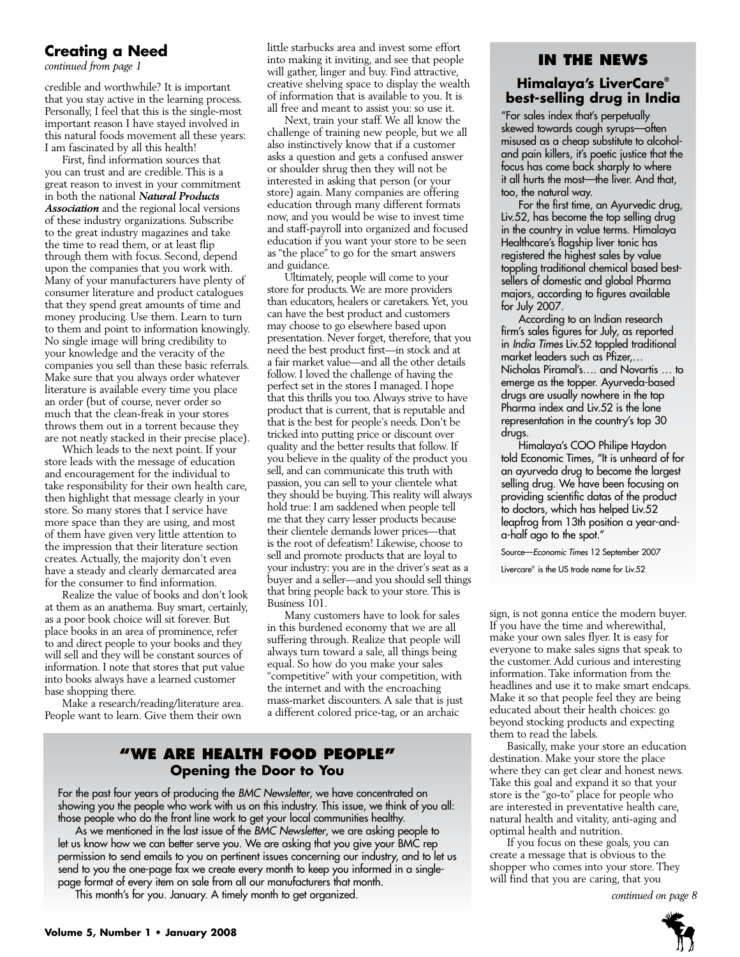### **Creating a Need**

credible and worthwhile? It is important that you stay active in the learning process. Personally, I feel that this is the single-most important reason I have stayed involved in this natural foods movement all these years: I am fascinated by all this health!

First, find information sources that you can trust and are credible. This is a great reason to invest in your commitment in both the national *Natural Products Association* and the regional local versions of these industry organizations. Subscribe to the great industry magazines and take the time to read them, or at least flip through them with focus. Second, depend upon the companies that you work with. Many of your manufacturers have plenty of consumer literature and product catalogues that they spend great amounts of time and money producing. Use them. Learn to turn to them and point to information knowingly. No single image will bring credibility to your knowledge and the veracity of the companies you sell than these basic referrals. Make sure that you always order whatever literature is available every time you place an order (but of course, never order so much that the clean-freak in your stores throws them out in a torrent because they are not neatly stacked in their precise place).

Which leads to the next point. If your store leads with the message of education and encouragement for the individual to take responsibility for their own health care, then highlight that message clearly in your store. So many stores that I service have more space than they are using, and most of them have given very little attention to the impression that their literature section creates. Actually, the majority don't even have a steady and clearly demarcated area for the consumer to find information.

Realize the value of books and don't look at them as an anathema. Buy smart, certainly, as a poor book choice will sit forever. But place books in an area of prominence, refer to and direct people to your books and they will sell and they will be constant sources of information. I note that stores that put value into books always have a learned customer base shopping there.

Make a research/reading/literature area. People want to learn. Give them their own

little starbucks area and invest some effort **continued from page 1**<br>continued from page 1 will gather, linger and buy. Find attractive, creative shelving space to display the wealth of information that is available to you. It is all free and meant to assist you: so use it.

Next, train your staff. We all know the challenge of training new people, but we all also instinctively know that if a customer asks a question and gets a confused answer or shoulder shrug then they will not be interested in asking that person (or your store) again. Many companies are offering education through many different formats now, and you would be wise to invest time and staff-payroll into organized and focused education if you want your store to be seen as "the place" to go for the smart answers and guidance.

Ultimately, people will come to your store for products. We are more providers than educators, healers or caretakers. Yet, you can have the best product and customers may choose to go elsewhere based upon presentation. Never forget, therefore, that you need the best product first—in stock and at a fair market value—and all the other details follow. I loved the challenge of having the perfect set in the stores I managed. I hope that this thrills you too. Always strive to have product that is current, that is reputable and that is the best for people's needs. Don't be tricked into putting price or discount over quality and the better results that follow. If you believe in the quality of the product you sell, and can communicate this truth with passion, you can sell to your clientele what they should be buying. This reality will always hold true: I am saddened when people tell me that they carry lesser products because their clientele demands lower prices—that is the root of defeatism! Likewise, choose to sell and promote products that are loyal to your industry: you are in the driver's seat as a buyer and a seller—and you should sell things that bring people back to your store. This is Business 101.

Many customers have to look for sales in this burdened economy that we are all suffering through. Realize that people will always turn toward a sale, all things being equal. So how do you make your sales "competitive" with your competition, with the internet and with the encroaching mass-market discounters. A sale that is just a different colored price-tag, or an archaic

# **"We Are health food people" Opening the Door to You**

For the past four years of producing the *BMC Newsletter*, we have concentrated on showing you the people who work with us on this industry. This issue, we think of you all: those people who do the front line work to get your local communities healthy.

As we mentioned in the last issue of the *BMC Newsletter*, we are asking people to let us know how we can better serve you. We are asking that you give your BMC rep permission to send emails to you on pertinent issues concerning our industry, and to let us send to you the one-page fax we create every month to keep you informed in a singlepage format of every item on sale from all our manufacturers that month.

This month's for you. January. A timely month to get organized. *continued on page 8*

### **Himalaya's LiverCare® best-selling drug in India**

"For sales index that's perpetually skewed towards cough syrups—often misused as a cheap substitute to alcoholand pain killers, it's poetic justice that the focus has come back sharply to where it all hurts the most—the liver. And that, too, the natural way.

For the first time, an Ayurvedic drug, Liv.52, has become the top selling drug in the country in value terms. Himalaya Healthcare's flagship liver tonic has registered the highest sales by value toppling traditional chemical based bestsellers of domestic and global Pharma majors, according to figures available for July 2007.

According to an Indian research firm's sales figures for July, as reported in *India Times* Liv.52 toppled traditional market leaders such as Pfizer,… Nicholas Piramal's…. and Novartis … to emerge as the topper. Ayurveda-based drugs are usually nowhere in the top Pharma index and Liv.52 is the lone representation in the country's top 30 drugs.

Himalaya's COO Philipe Haydon told Economic Times, "It is unheard of for an ayurveda drug to become the largest selling drug. We have been focusing on providing scientific datas of the product to doctors, which has helped Liv.52 leapfrog from 13th position a year-anda-half ago to the spot."

Source—*Economic Times* 12 September 2007

Livercare® is the US trade name for Liv.52

sign, is not gonna entice the modern buyer. If you have the time and wherewithal, make your own sales flyer. It is easy for everyone to make sales signs that speak to the customer. Add curious and interesting information. Take information from the headlines and use it to make smart endcaps. Make it so that people feel they are being educated about their health choices: go beyond stocking products and expecting them to read the labels.

Basically, make your store an education destination. Make your store the place where they can get clear and honest news. Take this goal and expand it so that your store is the "go-to" place for people who are interested in preventative health care, natural health and vitality, anti-aging and optimal health and nutrition.

If you focus on these goals, you can create a message that is obvious to the shopper who comes into your store. They will find that you are caring, that you